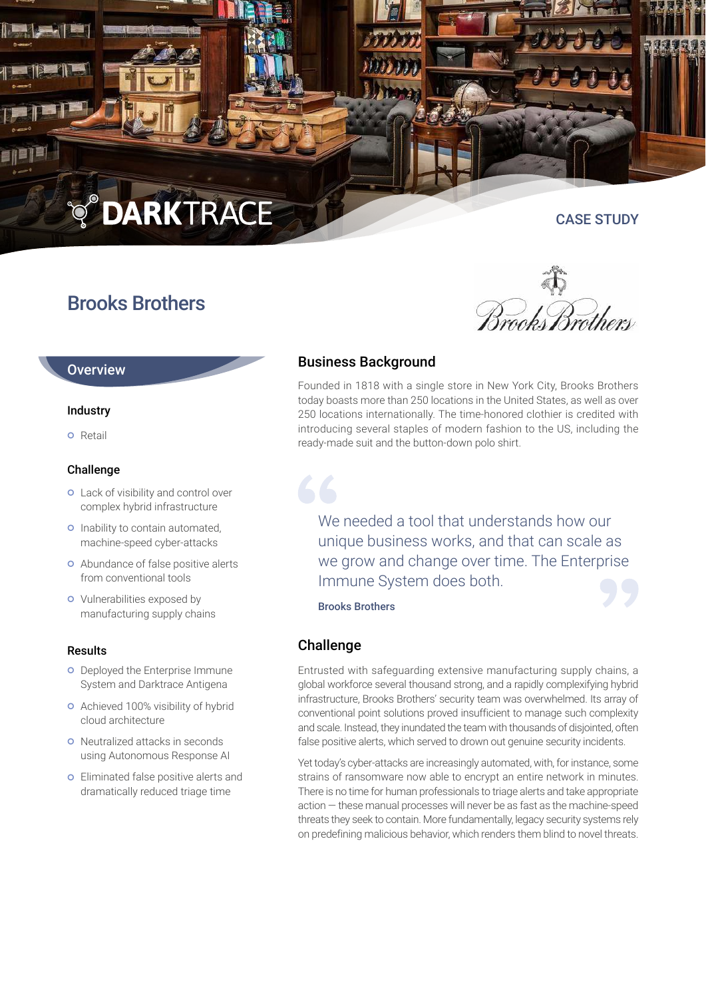**OARKTRACE** 

# Brooks Brothers

*Brook Brothers* 

CASE STUDY

# **Overview**

### Industry

**o** Retail

### Challenge

- **o** Lack of visibility and control over complex hybrid infrastructure
- o Inability to contain automated, machine-speed cyber-attacks
- Abundance of false positive alerts from conventional tools
- **o** Vulnerabilities exposed by manufacturing supply chains

#### Results

- **o** Deployed the Enterprise Immune System and Darktrace Antigena
- **o** Achieved 100% visibility of hybrid cloud architecture
- **o** Neutralized attacks in seconds using Autonomous Response AI
- Eliminated false positive alerts and dramatically reduced triage time

# Business Background

Founded in 1818 with a single store in New York City, Brooks Brothers today boasts more than 250 locations in the United States, as well as over 250 locations internationally. The time-honored clothier is credited with introducing several staples of modern fashion to the US, including the ready-made suit and the button-down polo shirt.

We needed a tool that understands how our unique business works, and that can scale as we grow and change over time. The Enterprise Immune System does both.

Brooks Brothers

## Challenge

Entrusted with safeguarding extensive manufacturing supply chains, a global workforce several thousand strong, and a rapidly complexifying hybrid infrastructure, Brooks Brothers' security team was overwhelmed. Its array of conventional point solutions proved insufficient to manage such complexity and scale. Instead, they inundated the team with thousands of disjointed, often false positive alerts, which served to drown out genuine security incidents.

Yet today's cyber-attacks are increasingly automated, with, for instance, some strains of ransomware now able to encrypt an entire network in minutes. There is no time for human professionals to triage alerts and take appropriate action — these manual processes will never be as fast as the machine-speed threats they seek to contain. More fundamentally, legacy security systems rely on predefining malicious behavior, which renders them blind to novel threats.